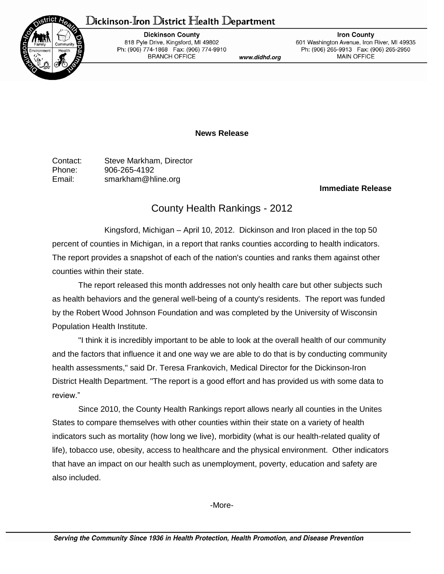## Dickinson-Iron District Health Department



**Dickinson County** 818 Pyle Drive, Kingsford, MI 49802 Ph: (906) 774-1868 Fax: (906) 774-9910 **BRANCH OFFICE** 

www.didhd.org

**Iron County** 601 Washington Avenue, Iron River, MI 49935 Ph: (906) 265-9913 Fax: (906) 265-2950 **MAIN OFFICE** 

**News Release**

Contact: Steve Markham, Director Phone: 906-265-4192 Email: smarkham@hline.org

## **Immediate Release**

## County Health Rankings - 2012

Kingsford, Michigan – April 10, 2012. Dickinson and Iron placed in the top 50 percent of counties in Michigan, in a report that ranks counties according to health indicators. The report provides a snapshot of each of the nation's counties and ranks them against other counties within their state.

The report released this month addresses not only health care but other subjects such as health behaviors and the general well-being of a county's residents. The report was funded by the Robert Wood Johnson Foundation and was completed by the University of Wisconsin Population Health Institute.

"I think it is incredibly important to be able to look at the overall health of our community and the factors that influence it and one way we are able to do that is by conducting community health assessments," said Dr. Teresa Frankovich, Medical Director for the Dickinson-Iron District Health Department. "The report is a good effort and has provided us with some data to review."

Since 2010, the County Health Rankings report allows nearly all counties in the Unites States to compare themselves with other counties within their state on a variety of health indicators such as mortality (how long we live), morbidity (what is our health-related quality of life), tobacco use, obesity, access to healthcare and the physical environment. Other indicators that have an impact on our health such as unemployment, poverty, education and safety are also included.

-More-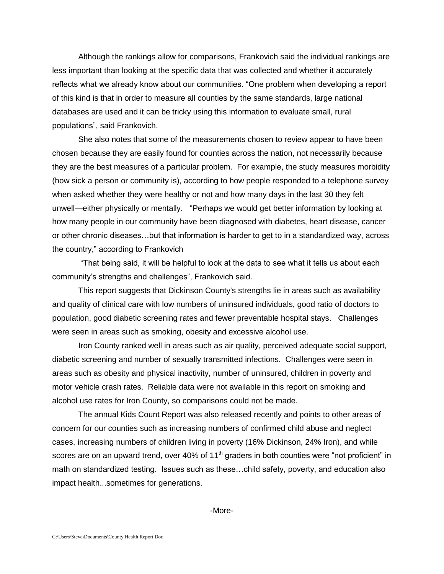Although the rankings allow for comparisons, Frankovich said the individual rankings are less important than looking at the specific data that was collected and whether it accurately reflects what we already know about our communities. "One problem when developing a report of this kind is that in order to measure all counties by the same standards, large national databases are used and it can be tricky using this information to evaluate small, rural populations", said Frankovich.

She also notes that some of the measurements chosen to review appear to have been chosen because they are easily found for counties across the nation, not necessarily because they are the best measures of a particular problem. For example, the study measures morbidity (how sick a person or community is), according to how people responded to a telephone survey when asked whether they were healthy or not and how many days in the last 30 they felt unwell—either physically or mentally. "Perhaps we would get better information by looking at how many people in our community have been diagnosed with diabetes, heart disease, cancer or other chronic diseases…but that information is harder to get to in a standardized way, across the country," according to Frankovich

"That being said, it will be helpful to look at the data to see what it tells us about each community's strengths and challenges", Frankovich said.

This report suggests that Dickinson County's strengths lie in areas such as availability and quality of clinical care with low numbers of uninsured individuals, good ratio of doctors to population, good diabetic screening rates and fewer preventable hospital stays. Challenges were seen in areas such as smoking, obesity and excessive alcohol use.

Iron County ranked well in areas such as air quality, perceived adequate social support, diabetic screening and number of sexually transmitted infections. Challenges were seen in areas such as obesity and physical inactivity, number of uninsured, children in poverty and motor vehicle crash rates. Reliable data were not available in this report on smoking and alcohol use rates for Iron County, so comparisons could not be made.

The annual Kids Count Report was also released recently and points to other areas of concern for our counties such as increasing numbers of confirmed child abuse and neglect cases, increasing numbers of children living in poverty (16% Dickinson, 24% Iron), and while scores are on an upward trend, over 40% of 11<sup>th</sup> graders in both counties were "not proficient" in math on standardized testing. Issues such as these…child safety, poverty, and education also impact health...sometimes for generations.

-More-